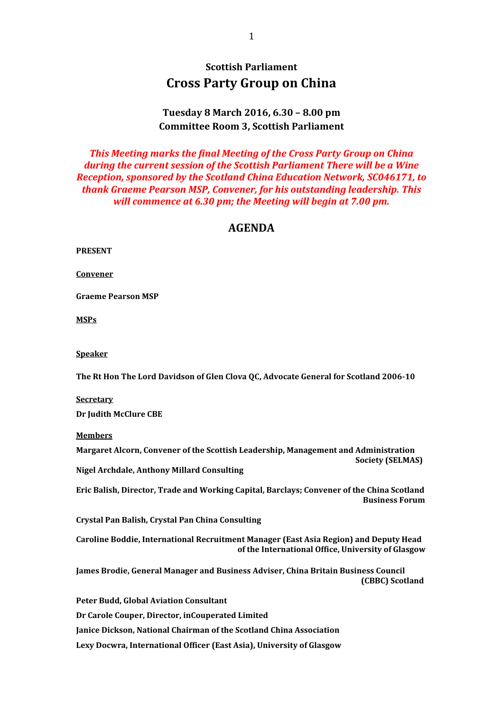# **Scottish Parliament Cross Party Group on China**

### **Tuesday 8 March 2016, 6.30 – 8.00 pm Committee Room 3, Scottish Parliament**

*This Meeting marks the final Meeting of the Cross Party Group on China during the current session of the Scottish Parliament There will be a Wine Reception, sponsored by the Scotland China Education Network, SC046171, to thank Graeme Pearson MSP, Convener, for his outstanding leadership. This will commence at 6.30 pm; the Meeting will begin at 7.00 pm.*

### **AGENDA**

| ъ<br>RES<br>i i N |
|-------------------|
|-------------------|

**Convener**

**Graeme Pearson MSP**

**MSPs**

**Speaker**

**The Rt Hon The Lord Davidson of Glen Clova QC, Advocate General for Scotland 2006-10**

**Secretary**

**Dr Judith McClure CBE**

**Members**

**Margaret Alcorn, Convener of the Scottish Leadership, Management and Administration Society (SELMAS)**

**Nigel Archdale, Anthony Millard Consulting**

**Eric Balish, Director, Trade and Working Capital, Barclays; Convener of the China Scotland Business Forum**

**Crystal Pan Balish, Crystal Pan China Consulting**

**Caroline Boddie, International Recruitment Manager (East Asia Region) and Deputy Head of the International Office, University of Glasgow**

**James Brodie, General Manager and Business Adviser, China Britain Business Council (CBBC) Scotland**

**Peter Budd, Global Aviation Consultant Dr Carole Couper, Director, inCouperated Limited Janice Dickson, National Chairman of the Scotland China Association Lexy Docwra, International Officer (East Asia), University of Glasgow**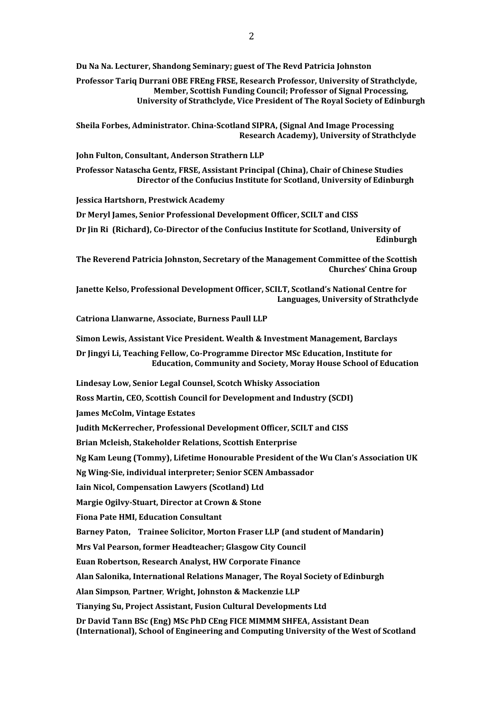**Du Na Na. Lecturer, Shandong Seminary; guest of The Revd Patricia Johnston**

**Professor Tariq Durrani OBE FREng FRSE, Research Professor, University of Strathclyde, Member, Scottish Funding Council; Professor of Signal Processing, University of Strathclyde, Vice President of The Royal Society of Edinburgh**

**Sheila Forbes, Administrator. China-Scotland SIPRA, (Signal And Image Processing Research Academy), University of Strathclyde**

**John Fulton, Consultant, Anderson Strathern LLP**

**Professor Natascha Gentz, FRSE, Assistant Principal (China), Chair of Chinese Studies Director of the Confucius Institute for Scotland, University of Edinburgh**

**Jessica Hartshorn, Prestwick Academy**

**Dr Meryl James, Senior Professional Development Officer, SCILT and CISS**

**Dr Jin Ri (Richard), Co-Director of the Confucius Institute for Scotland, University of Edinburgh**

**The Reverend Patricia Johnston, Secretary of the Management Committee of the Scottish Churches' China Group**

**Janette Kelso, Professional Development Officer, SCILT, Scotland's National Centre for Languages, University of Strathclyde**

**Catriona Llanwarne, Associate, Burness Paull LLP**

**Simon Lewis, Assistant Vice President. Wealth & Investment Management, Barclays**

**Dr Jingyi Li, Teaching Fellow, Co-Programme Director MSc Education, Institute for Education, Community and Society, Moray House School of Education**

**Lindesay Low, Senior Legal Counsel, Scotch Whisky Association**

**Ross Martin, CEO, Scottish Council for Development and Industry (SCDI)**

**James McColm, Vintage Estates**

**Judith McKerrecher, Professional Development Officer, SCILT and CISS**

**Brian Mcleish, Stakeholder Relations, Scottish Enterprise**

**Ng Kam Leung (Tommy), Lifetime Honourable President of the Wu Clan's Association UK**

**Ng Wing-Sie, individual interpreter; Senior SCEN Ambassador**

**Iain Nicol, Compensation Lawyers (Scotland) Ltd**

**Margie Ogilvy-Stuart, Director at Crown & Stone**

**Fiona Pate HMI, Education Consultant**

**Barney Paton, Trainee Solicitor, Morton Fraser LLP (and student of Mandarin)**

**Mrs Val Pearson, former Headteacher; Glasgow City Council**

**Euan Robertson, Research Analyst, HW Corporate Finance**

**Alan Salonika, International Relations Manager, The Royal Society of Edinburgh**

**Alan Simpson**, **Partner**, **Wright, Johnston & Mackenzie LLP**

**Tianying Su, Project Assistant, Fusion Cultural Developments Ltd**

**Dr David Tann BSc (Eng) MSc PhD CEng FICE MIMMM SHFEA, Assistant Dean (International), School of Engineering and Computing University of the West of Scotland**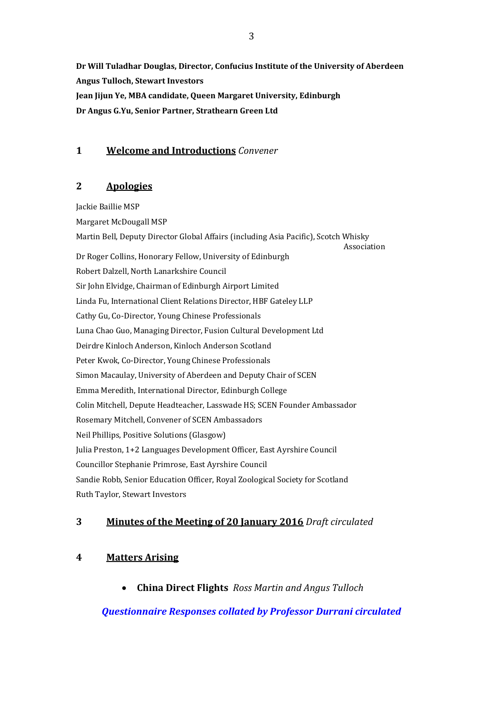**Dr Will Tuladhar Douglas, Director, Confucius Institute of the University of Aberdeen Angus Tulloch, Stewart Investors Jean Jijun Ye, MBA candidate, Queen Margaret University, Edinburgh Dr Angus G.Yu, Senior Partner, Strathearn Green Ltd**

#### **1 Welcome and Introductions** *Convener*

#### **2 Apologies**

Jackie Baillie MSP Margaret McDougall MSP Martin Bell, Deputy Director Global Affairs (including Asia Pacific), Scotch Whisky Association Dr Roger Collins, Honorary Fellow, University of Edinburgh Robert Dalzell, North Lanarkshire Council Sir John Elvidge, Chairman of Edinburgh Airport Limited Linda Fu, International Client Relations Director, HBF Gateley LLP Cathy Gu, Co-Director, Young Chinese Professionals Luna Chao Guo, Managing Director, Fusion Cultural Development Ltd Deirdre Kinloch Anderson, Kinloch Anderson Scotland Peter Kwok, Co-Director, Young Chinese Professionals Simon Macaulay, University of Aberdeen and Deputy Chair of SCEN Emma Meredith, International Director, Edinburgh College Colin Mitchell, Depute Headteacher, Lasswade HS; SCEN Founder Ambassador Rosemary Mitchell, Convener of SCEN Ambassadors Neil Phillips, Positive Solutions (Glasgow) Julia Preston, 1+2 Languages Development Officer, East Ayrshire Council Councillor Stephanie Primrose, East Ayrshire Council Sandie Robb, Senior Education Officer, Royal Zoological Society for Scotland Ruth Taylor, Stewart Investors

#### **3 Minutes of the Meeting of 20 January 2016** *Draft circulated*

## **4 Matters Arising**

**China Direct Flights** *Ross Martin and Angus Tulloch*

*Questionnaire Responses collated by Professor Durrani circulated*